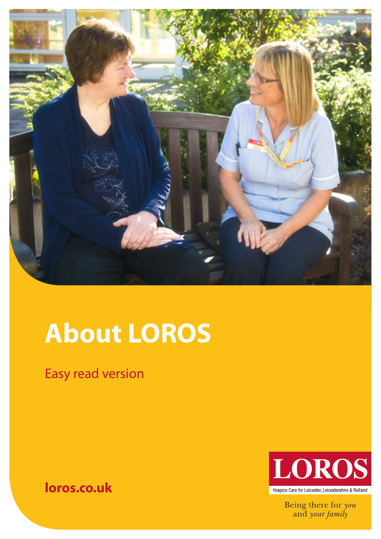

# **About LOROS**

Easy read version

# **loros.co.uk**



Being there for you<br>and your family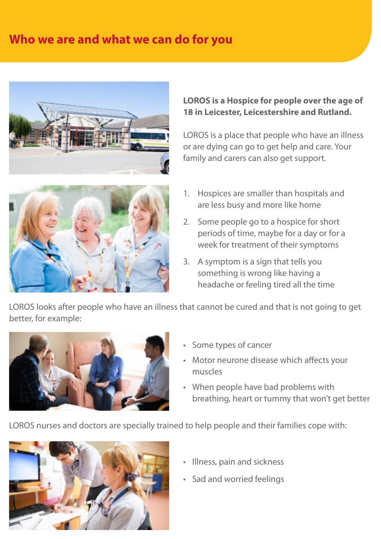## **Who we are and what we can do for you**





#### **LOROS is a Hospice for people over the age of 18 in Leicester, Leicestershire and Rutland.**

LOROS is a place that people who have an illness or are dying can go to get help and care. Your family and carers can also get support.

- 1. Hospices are smaller than hospitals and are less busy and more like home
- 2. Some people go to a hospice for short periods of time, maybe for a day or for a week for treatment of their symptoms
- 3. A symptom is a sign that tells you something is wrong like having a headache or feeling tired all the time

LOROS looks after people who have an illness that cannot be cured and that is not going to get better, for example:



- Some types of cancer
- Motor neurone disease which affects your muscles
- When people have bad problems with breathing, heart or tummy that won't get better

LOROS nurses and doctors are specially trained to help people and their families cope with:



- Illness, pain and sickness
- Sad and worried feelings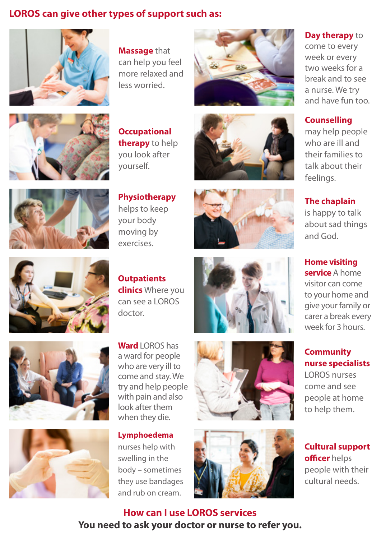### **LOROS can give other types of support such as:**



**Massage** that can help you feel more relaxed and less worried.





**Occupational therapy** to help you look after yourself.







**Physiotherapy** helps to keep your body moving by exercises.

**Outpatients** 

doctor.

**clinics** Where you can see a LOROS







**Day therapy** to

come to every week or every two weeks for a break and to see a nurse. We try and have fun too.

#### **Counselling**

may help people who are ill and their families to talk about their feelings.

**The chaplain**

is happy to talk about sad things and God.

**Home visiting service** A home visitor can come to your home and give your family or carer a break every week for 3 hours.

#### **Community nurse specialists**

LOROS nurses come and see people at home to help them.

**Cultural support officer** helps people with their cultural needs.





a ward for people who are very ill to come and stay. We try and help people with pain and also look after them when they die.

**Ward** LOROS has

**Lymphoedema**  nurses help with swelling in the body – sometimes they use bandages and rub on cream.